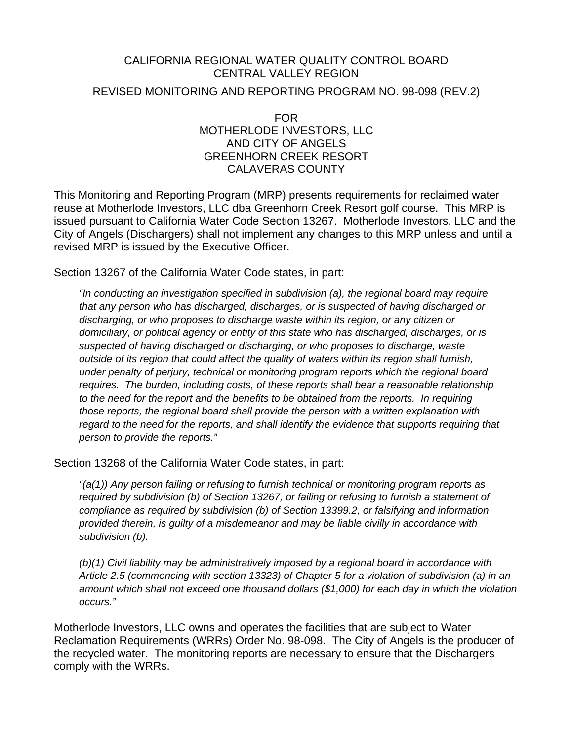#### CALIFORNIA REGIONAL WATER QUALITY CONTROL BOARD CENTRAL VALLEY REGION

REVISED MONITORING AND REPORTING PROGRAM NO. 98-098 (REV.2)

FOR MOTHERLODE INVESTORS, LLC AND CITY OF ANGELS GREENHORN CREEK RESORT CALAVERAS COUNTY

This Monitoring and Reporting Program (MRP) presents requirements for reclaimed water reuse at Motherlode Investors, LLC dba Greenhorn Creek Resort golf course. This MRP is issued pursuant to California Water Code Section 13267. Motherlode Investors, LLC and the City of Angels (Dischargers) shall not implement any changes to this MRP unless and until a revised MRP is issued by the Executive Officer.

Section 13267 of the California Water Code states, in part:

*"In conducting an investigation specified in subdivision (a), the regional board may require that any person who has discharged, discharges, or is suspected of having discharged or discharging, or who proposes to discharge waste within its region, or any citizen or domiciliary, or political agency or entity of this state who has discharged, discharges, or is suspected of having discharged or discharging, or who proposes to discharge, waste outside of its region that could affect the quality of waters within its region shall furnish, under penalty of perjury, technical or monitoring program reports which the regional board requires. The burden, including costs, of these reports shall bear a reasonable relationship to the need for the report and the benefits to be obtained from the reports. In requiring those reports, the regional board shall provide the person with a written explanation with regard to the need for the reports, and shall identify the evidence that supports requiring that person to provide the reports."* 

Section 13268 of the California Water Code states, in part:

*"(a(1)) Any person failing or refusing to furnish technical or monitoring program reports as required by subdivision (b) of Section 13267, or failing or refusing to furnish a statement of compliance as required by subdivision (b) of Section 13399.2, or falsifying and information provided therein, is guilty of a misdemeanor and may be liable civilly in accordance with subdivision (b).* 

*(b)(1) Civil liability may be administratively imposed by a regional board in accordance with Article 2.5 (commencing with section 13323) of Chapter 5 for a violation of subdivision (a) in an amount which shall not exceed one thousand dollars (\$1,000) for each day in which the violation occurs."* 

Motherlode Investors, LLC owns and operates the facilities that are subject to Water Reclamation Requirements (WRRs) Order No. 98-098. The City of Angels is the producer of the recycled water. The monitoring reports are necessary to ensure that the Dischargers comply with the WRRs.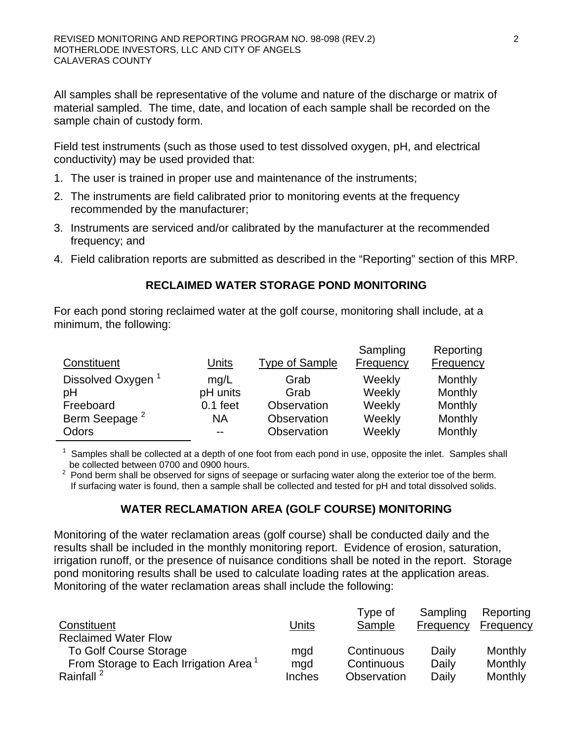All samples shall be representative of the volume and nature of the discharge or matrix of material sampled. The time, date, and location of each sample shall be recorded on the sample chain of custody form.

Field test instruments (such as those used to test dissolved oxygen, pH, and electrical conductivity) may be used provided that:

- 1. The user is trained in proper use and maintenance of the instruments;
- 2. The instruments are field calibrated prior to monitoring events at the frequency recommended by the manufacturer;
- 3. Instruments are serviced and/or calibrated by the manufacturer at the recommended frequency; and
- 4. Field calibration reports are submitted as described in the "Reporting" section of this MRP.

## **RECLAIMED WATER STORAGE POND MONITORING**

For each pond storing reclaimed water at the golf course, monitoring shall include, at a minimum, the following:

| Constituent                   | <b>Units</b> | <b>Type of Sample</b> | Sampling<br><b>Frequency</b> | Reporting<br><b>Frequency</b> |
|-------------------------------|--------------|-----------------------|------------------------------|-------------------------------|
| Dissolved Oxygen <sup>1</sup> | mq/L         | Grab                  | Weekly                       | Monthly                       |
| pH                            | pH units     | Grab                  | Weekly                       | Monthly                       |
| Freeboard                     | $0.1$ feet   | Observation           | Weekly                       | Monthly                       |
| Berm Seepage <sup>2</sup>     | ΝA           | Observation           | Weekly                       | Monthly                       |
| Odors                         | $-$          | Observation           | Weekly                       | Monthly                       |

 $1$  Samples shall be collected at a depth of one foot from each pond in use, opposite the inlet. Samples shall be collected between 0700 and 0900 hours.

 $2$  Pond berm shall be observed for signs of seepage or surfacing water along the exterior toe of the berm. If surfacing water is found, then a sample shall be collected and tested for pH and total dissolved solids.

# **WATER RECLAMATION AREA (GOLF COURSE) MONITORING**

Monitoring of the water reclamation areas (golf course) shall be conducted daily and the results shall be included in the monthly monitoring report. Evidence of erosion, saturation, irrigation runoff, or the presence of nuisance conditions shall be noted in the report. Storage pond monitoring results shall be used to calculate loading rates at the application areas. Monitoring of the water reclamation areas shall include the following:

| Constituent                                       | <u>Units</u>  | Type of<br>Sample | Sampling<br>Frequency | Reporting<br>Frequency |
|---------------------------------------------------|---------------|-------------------|-----------------------|------------------------|
| <b>Reclaimed Water Flow</b>                       |               |                   |                       |                        |
| <b>To Golf Course Storage</b>                     | mgd           | Continuous        | Daily                 | Monthly                |
| From Storage to Each Irrigation Area <sup>1</sup> | mgd           | Continuous        | Daily                 | Monthly                |
| Rainfall <sup>2</sup>                             | <b>Inches</b> | Observation       | Daily                 | Monthly                |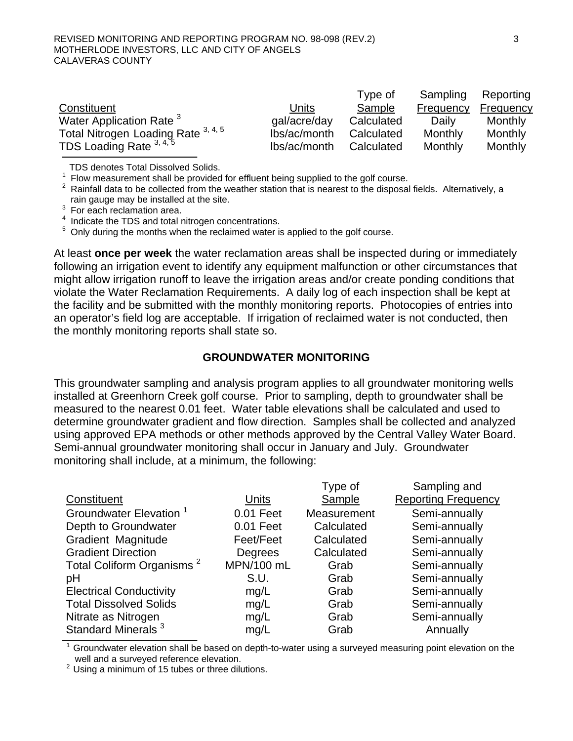|                                     |              | Type of    | Sampling  | Reporting |
|-------------------------------------|--------------|------------|-----------|-----------|
| Constituent                         | Units        | Sample     | Frequency | Frequency |
| Water Application Rate <sup>3</sup> | gal/acre/day | Calculated | Daily     | Monthly   |
| Total Nitrogen Loading Rate 3, 4, 5 | lbs/ac/month | Calculated | Monthly   | Monthly   |
| TDS Loading Rate $3, 4, 5$          | lbs/ac/month | Calculated | Monthly   | Monthly   |

TDS denotes Total Dissolved Solids.

 $1$  Flow measurement shall be provided for effluent being supplied to the golf course.

 $2$  Rainfall data to be collected from the weather station that is nearest to the disposal fields. Alternatively, a rain gauge may be installed at the site.

<sup>3</sup> For each reclamation area.

<sup>4</sup> Indicate the TDS and total nitrogen concentrations.

 $5$  Only during the months when the reclaimed water is applied to the golf course.

At least **once per week** the water reclamation areas shall be inspected during or immediately following an irrigation event to identify any equipment malfunction or other circumstances that might allow irrigation runoff to leave the irrigation areas and/or create ponding conditions that violate the Water Reclamation Requirements. A daily log of each inspection shall be kept at the facility and be submitted with the monthly monitoring reports. Photocopies of entries into an operator's field log are acceptable. If irrigation of reclaimed water is not conducted, then the monthly monitoring reports shall state so.

## **GROUNDWATER MONITORING**

This groundwater sampling and analysis program applies to all groundwater monitoring wells installed at Greenhorn Creek golf course. Prior to sampling, depth to groundwater shall be measured to the nearest 0.01 feet. Water table elevations shall be calculated and used to determine groundwater gradient and flow direction. Samples shall be collected and analyzed using approved EPA methods or other methods approved by the Central Valley Water Board. Semi-annual groundwater monitoring shall occur in January and July. Groundwater monitoring shall include, at a minimum, the following:

|                                       |            | Type of     | Sampling and               |
|---------------------------------------|------------|-------------|----------------------------|
| Constituent                           | Units      | Sample      | <b>Reporting Frequency</b> |
| Groundwater Elevation <sup>1</sup>    | 0.01 Feet  | Measurement | Semi-annually              |
| Depth to Groundwater                  | 0.01 Feet  | Calculated  | Semi-annually              |
| <b>Gradient Magnitude</b>             | Feet/Feet  | Calculated  | Semi-annually              |
| <b>Gradient Direction</b>             | Degrees    | Calculated  | Semi-annually              |
| Total Coliform Organisms <sup>2</sup> | MPN/100 mL | Grab        | Semi-annually              |
| рH                                    | S.U.       | Grab        | Semi-annually              |
| <b>Electrical Conductivity</b>        | mg/L       | Grab        | Semi-annually              |
| <b>Total Dissolved Solids</b>         | mg/L       | Grab        | Semi-annually              |
| Nitrate as Nitrogen                   | mg/L       | Grab        | Semi-annually              |
| Standard Minerals <sup>3</sup>        | mg/L       | Grab        | Annually                   |

 $1$  Groundwater elevation shall be based on depth-to-water using a surveyed measuring point elevation on the well and a surveyed reference elevation.

 $2$  Using a minimum of 15 tubes or three dilutions.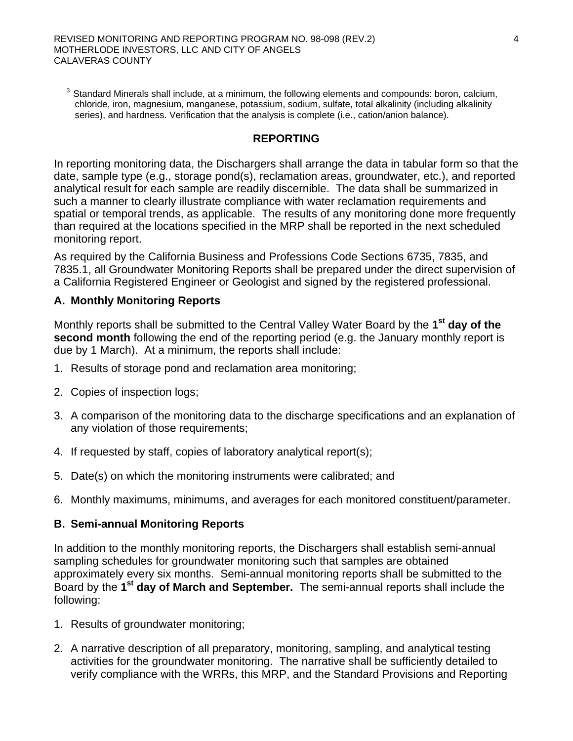$3$  Standard Minerals shall include, at a minimum, the following elements and compounds: boron, calcium, chloride, iron, magnesium, manganese, potassium, sodium, sulfate, total alkalinity (including alkalinity series), and hardness. Verification that the analysis is complete (i.e., cation/anion balance).

#### **REPORTING**

In reporting monitoring data, the Dischargers shall arrange the data in tabular form so that the date, sample type (e.g., storage pond(s), reclamation areas, groundwater, etc.), and reported analytical result for each sample are readily discernible. The data shall be summarized in such a manner to clearly illustrate compliance with water reclamation requirements and spatial or temporal trends, as applicable. The results of any monitoring done more frequently than required at the locations specified in the MRP shall be reported in the next scheduled monitoring report.

As required by the California Business and Professions Code Sections 6735, 7835, and 7835.1, all Groundwater Monitoring Reports shall be prepared under the direct supervision of a California Registered Engineer or Geologist and signed by the registered professional.

#### **A. Monthly Monitoring Reports**

Monthly reports shall be submitted to the Central Valley Water Board by the **1st day of the second month** following the end of the reporting period (e.g. the January monthly report is due by 1 March). At a minimum, the reports shall include:

- 1. Results of storage pond and reclamation area monitoring;
- 2. Copies of inspection logs;
- 3. A comparison of the monitoring data to the discharge specifications and an explanation of any violation of those requirements;
- 4. If requested by staff, copies of laboratory analytical report(s);
- 5. Date(s) on which the monitoring instruments were calibrated; and
- 6. Monthly maximums, minimums, and averages for each monitored constituent/parameter.

#### **B. Semi-annual Monitoring Reports**

In addition to the monthly monitoring reports, the Dischargers shall establish semi-annual sampling schedules for groundwater monitoring such that samples are obtained approximately every six months. Semi-annual monitoring reports shall be submitted to the Board by the **1st day of March and September.** The semi-annual reports shall include the following:

- 1. Results of groundwater monitoring;
- 2. A narrative description of all preparatory, monitoring, sampling, and analytical testing activities for the groundwater monitoring. The narrative shall be sufficiently detailed to verify compliance with the WRRs, this MRP, and the Standard Provisions and Reporting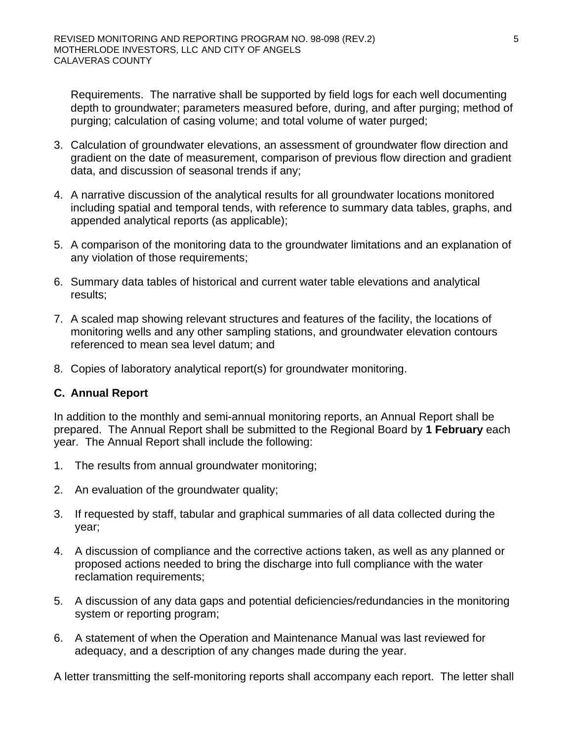Requirements. The narrative shall be supported by field logs for each well documenting depth to groundwater; parameters measured before, during, and after purging; method of purging; calculation of casing volume; and total volume of water purged;

- 3. Calculation of groundwater elevations, an assessment of groundwater flow direction and gradient on the date of measurement, comparison of previous flow direction and gradient data, and discussion of seasonal trends if any;
- 4. A narrative discussion of the analytical results for all groundwater locations monitored including spatial and temporal tends, with reference to summary data tables, graphs, and appended analytical reports (as applicable);
- 5. A comparison of the monitoring data to the groundwater limitations and an explanation of any violation of those requirements;
- 6. Summary data tables of historical and current water table elevations and analytical results;
- 7. A scaled map showing relevant structures and features of the facility, the locations of monitoring wells and any other sampling stations, and groundwater elevation contours referenced to mean sea level datum; and
- 8. Copies of laboratory analytical report(s) for groundwater monitoring.

## **C. Annual Report**

In addition to the monthly and semi-annual monitoring reports, an Annual Report shall be prepared. The Annual Report shall be submitted to the Regional Board by **1 February** each year. The Annual Report shall include the following:

- 1. The results from annual groundwater monitoring;
- 2. An evaluation of the groundwater quality;
- 3. If requested by staff, tabular and graphical summaries of all data collected during the year;
- 4. A discussion of compliance and the corrective actions taken, as well as any planned or proposed actions needed to bring the discharge into full compliance with the water reclamation requirements;
- 5. A discussion of any data gaps and potential deficiencies/redundancies in the monitoring system or reporting program;
- 6. A statement of when the Operation and Maintenance Manual was last reviewed for adequacy, and a description of any changes made during the year.

A letter transmitting the self-monitoring reports shall accompany each report. The letter shall